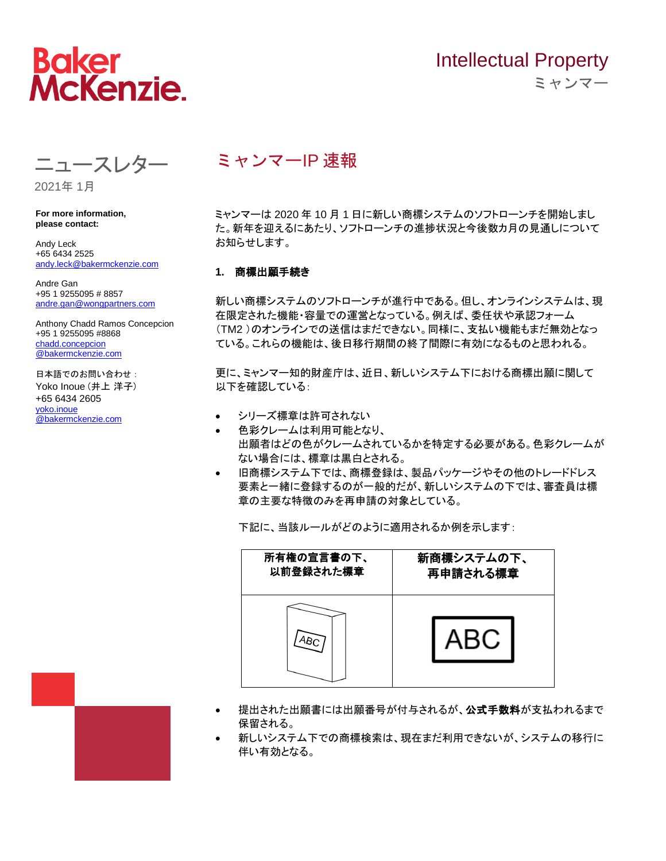

# Intellectual Property ミャンマー

ミャンマーIP 速報

ミャンマーは 2020 年 10 月 1 日に新しい商標システムのソフトローンチを開始しまし た。新年を迎えるにあたり、ソフトローンチの進捗状況と今後数カ月の見通しについて お知らせします。

### **1.** 商標出願手続き

新しい商標システムのソフトローンチが進行中である。但し、オンラインシステムは、現 在限定された機能・容量での運営となっている。例えば、委任状や承認フォーム (TM2 )のオンラインでの送信はまだできない。同様に、支払い機能もまだ無効となっ ている。これらの機能は、後日移行期間の終了間際に有効になるものと思われる。

更に、ミャンマー知的財産庁は、近日、新しいシステム下における商標出願に関して 以下を確認している:

- シリーズ標章は許可されない
- 色彩クレームは利用可能となり、 出願者はどの色がクレームされているかを特定する必要がある。色彩クレームが ない場合には、標章は黒白とされる。
- 旧商標システム下では、商標登録は、製品パッケージやその他のトレードドレス 要素と一緒に登録するのが一般的だが、新しいシステムの下では、審査員は標 章の主要な特徴のみを再申請の対象としている。

下記に、当該ルールがどのように適用されるか例を示します:



- 提出された出願書には出願番号が付与されるが、公**式手数料**が支払われるまで 保留される。
- 新しいシステム下での商標検索は、現在まだ利用できないが、システムの移行に 伴い有効となる。

**For more information,** 

2021年 1月

**please contact:**  Andy Leck

+65 6434 2525 [andy.leck@bakermckenzie.com](mailto:andy.leck@bakermckenzie.com)

ニュースレター

Andre Gan +95 1 9255095 # 8857 [andre.gan@wongpartners.com](mailto:andre.gan@wongpartners.com)

Anthony Chadd Ramos Concepcion +95 1 9255095 #8868 [chadd.concepcion](mailto:chadd.concepcion@bakermckenzie.com) [@bakermckenzie.com](mailto:chadd.concepcion@bakermckenzie.com)

日本語でのお問い合わせ: Yoko Inoue (井上 洋子) +65 6434 2605 yoko.inoue @bakermckenzie.com